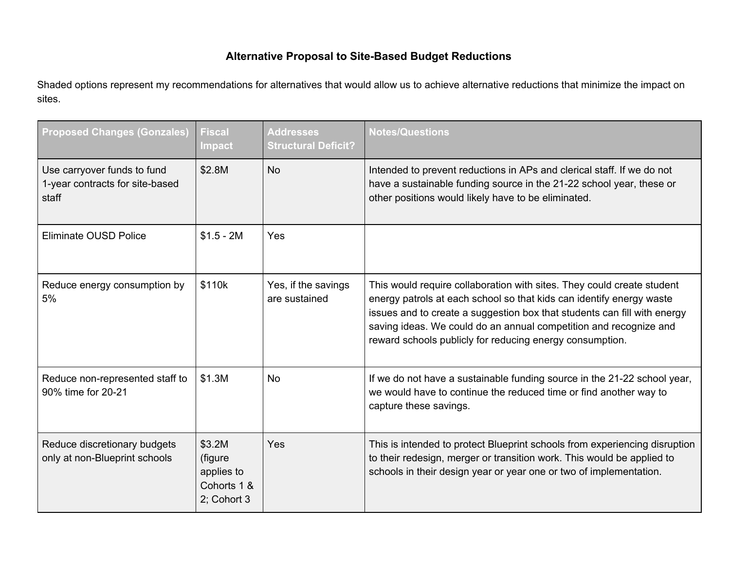## **Alternative Proposal to Site-Based Budget Reductions**

Shaded options represent my recommendations for alternatives that would allow us to achieve alternative reductions that minimize the impact on sites.

| <b>Proposed Changes (Gonzales)</b>                                      | <b>Fiscal</b><br><b>Impact</b>                                | <b>Addresses</b><br><b>Structural Deficit?</b> | <b>Notes/Questions</b>                                                                                                                                                                                                                                                                                                                                      |
|-------------------------------------------------------------------------|---------------------------------------------------------------|------------------------------------------------|-------------------------------------------------------------------------------------------------------------------------------------------------------------------------------------------------------------------------------------------------------------------------------------------------------------------------------------------------------------|
| Use carryover funds to fund<br>1-year contracts for site-based<br>staff | \$2.8M                                                        | <b>No</b>                                      | Intended to prevent reductions in APs and clerical staff. If we do not<br>have a sustainable funding source in the 21-22 school year, these or<br>other positions would likely have to be eliminated.                                                                                                                                                       |
| <b>Eliminate OUSD Police</b>                                            | $$1.5 - 2M$                                                   | Yes                                            |                                                                                                                                                                                                                                                                                                                                                             |
| Reduce energy consumption by<br>5%                                      | \$110k                                                        | Yes, if the savings<br>are sustained           | This would require collaboration with sites. They could create student<br>energy patrols at each school so that kids can identify energy waste<br>issues and to create a suggestion box that students can fill with energy<br>saving ideas. We could do an annual competition and recognize and<br>reward schools publicly for reducing energy consumption. |
| Reduce non-represented staff to<br>90% time for 20-21                   | \$1.3M                                                        | <b>No</b>                                      | If we do not have a sustainable funding source in the 21-22 school year,<br>we would have to continue the reduced time or find another way to<br>capture these savings.                                                                                                                                                                                     |
| Reduce discretionary budgets<br>only at non-Blueprint schools           | \$3.2M<br>(figure<br>applies to<br>Cohorts 1 &<br>2: Cohort 3 | Yes                                            | This is intended to protect Blueprint schools from experiencing disruption<br>to their redesign, merger or transition work. This would be applied to<br>schools in their design year or year one or two of implementation.                                                                                                                                  |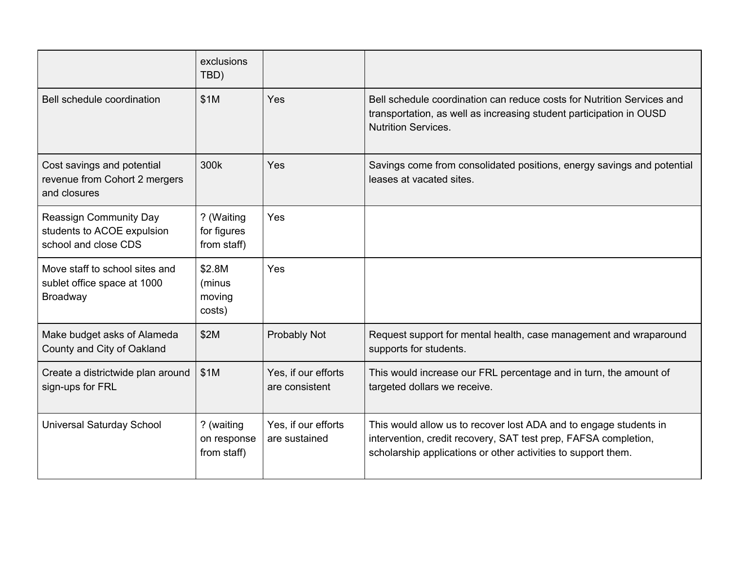|                                                                              | exclusions<br>TBD)                       |                                       |                                                                                                                                                                                                       |
|------------------------------------------------------------------------------|------------------------------------------|---------------------------------------|-------------------------------------------------------------------------------------------------------------------------------------------------------------------------------------------------------|
| Bell schedule coordination                                                   | \$1M                                     | Yes                                   | Bell schedule coordination can reduce costs for Nutrition Services and<br>transportation, as well as increasing student participation in OUSD<br><b>Nutrition Services.</b>                           |
| Cost savings and potential<br>revenue from Cohort 2 mergers<br>and closures  | 300k                                     | Yes                                   | Savings come from consolidated positions, energy savings and potential<br>leases at vacated sites.                                                                                                    |
| Reassign Community Day<br>students to ACOE expulsion<br>school and close CDS | ? (Waiting<br>for figures<br>from staff) | Yes                                   |                                                                                                                                                                                                       |
| Move staff to school sites and<br>sublet office space at 1000<br>Broadway    | \$2.8M<br>(minus<br>moving<br>costs)     | Yes                                   |                                                                                                                                                                                                       |
| Make budget asks of Alameda<br>County and City of Oakland                    | \$2M                                     | Probably Not                          | Request support for mental health, case management and wraparound<br>supports for students.                                                                                                           |
| Create a districtwide plan around<br>sign-ups for FRL                        | \$1M                                     | Yes, if our efforts<br>are consistent | This would increase our FRL percentage and in turn, the amount of<br>targeted dollars we receive.                                                                                                     |
| <b>Universal Saturday School</b>                                             | ? (waiting<br>on response<br>from staff) | Yes, if our efforts<br>are sustained  | This would allow us to recover lost ADA and to engage students in<br>intervention, credit recovery, SAT test prep, FAFSA completion,<br>scholarship applications or other activities to support them. |